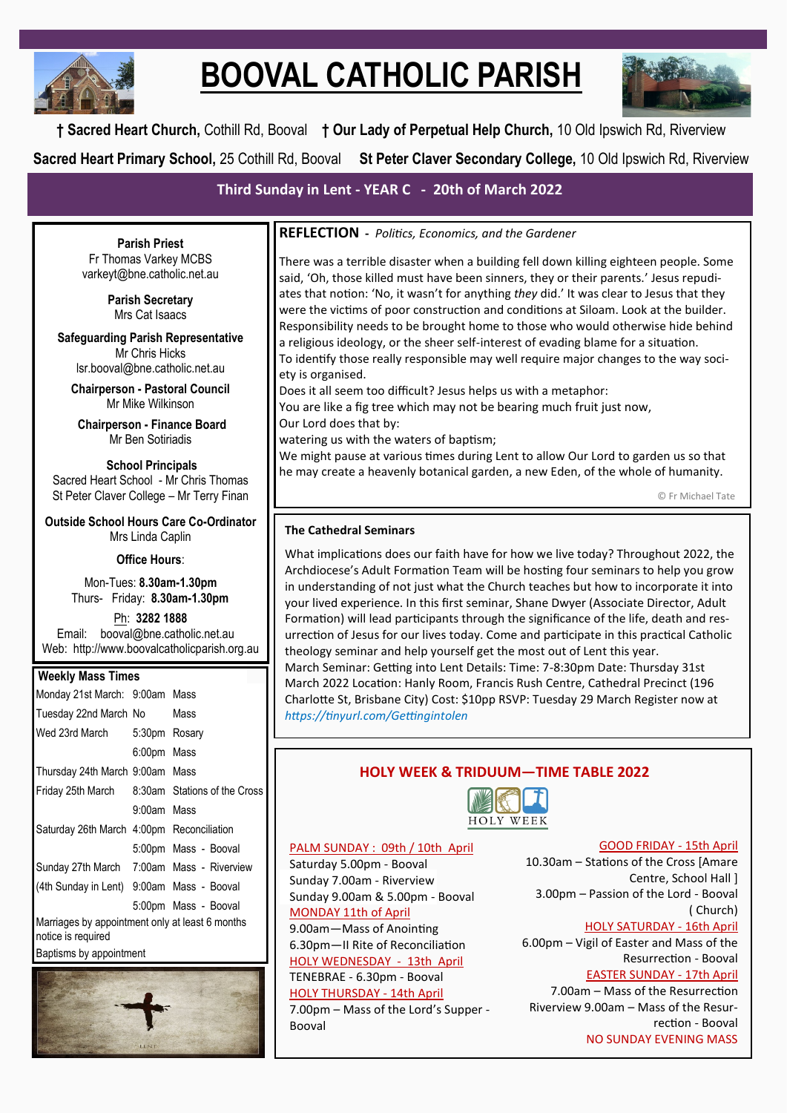

# **BOOVAL CATHOLIC PARISH**



**† Sacred Heart Church,** Cothill Rd, Booval **† Our Lady of Perpetual Help Church,** 10 Old Ipswich Rd, Riverview **Sacred Heart Primary School,** 25 Cothill Rd, Booval **St Peter Claver Secondary College,** 10 Old Ipswich Rd, Riverview

**Third Sunday in Lent - YEAR C - 20th of March 2022**

**Parish Priest** Fr Thomas Varkey MCBS varkeyt@bne.catholic.net.au

> **Parish Secretary** Mrs Cat Isaacs

**Safeguarding Parish Representative** Mr Chris Hicks [lsr.booval@bne.catholic.net.au](mailto:lsr.booval@bne.catholi.net.au)

**Chairperson - Pastoral Council** Mr Mike Wilkinson

**Chairperson - Finance Board** Mr Ben Sotiriadis

**School Principals** Sacred Heart School - Mr Chris Thomas St Peter Claver College – Mr Terry Finan

**Outside School Hours Care Co-Ordinator** Mrs Linda Caplin

**Office Hours**:

Mon-Tues: **8.30am-1.30pm** Thurs- Friday: **8.30am-1.30pm**

Ph: **3282 1888**  Email: booval@bne.catholic.net.au Web: http://www.boovalcatholicparish.org.au

## **Weekly Mass Times**

| Monday 21st March: 9:00am Mass                                        |               |                      |
|-----------------------------------------------------------------------|---------------|----------------------|
| Tuesday 22nd March No                                                 |               | Mass                 |
| Wed 23rd March                                                        | 5:30pm Rosary |                      |
|                                                                       | 6:00pm Mass   |                      |
| Thursday 24th March 9:00am Mass                                       |               |                      |
| Friday 25th March 8:30am Stations of the Cross                        |               |                      |
|                                                                       | 9:00am Mass   |                      |
| Saturday 26th March 4:00pm Reconciliation                             |               |                      |
|                                                                       |               | 5:00pm Mass - Booval |
| Sunday 27th March 7:00am Mass - Riverview                             |               |                      |
| (4th Sunday in Lent) 9:00am Mass - Booval                             |               |                      |
|                                                                       |               | 5:00pm Mass - Booval |
| Marriages by appointment only at least 6 months<br>notice is required |               |                      |
| _                                                                     |               |                      |

Baptisms by appointment



## **REFLECTION -** *Politics, Economics, and the Gardener*

There was a terrible disaster when a building fell down killing eighteen people. Some said, 'Oh, those killed must have been sinners, they or their parents.' Jesus repudiates that notion: 'No, it wasn't for anything *they* did.' It was clear to Jesus that they were the victims of poor construction and conditions at Siloam. Look at the builder. Responsibility needs to be brought home to those who would otherwise hide behind a religious ideology, or the sheer self-interest of evading blame for a situation. To identify those really responsible may well require major changes to the way society is organised.

Does it all seem too difficult? Jesus helps us with a metaphor: You are like a fig tree which may not be bearing much fruit just now, Our Lord does that by: watering us with the waters of baptism;

We might pause at various times during Lent to allow Our Lord to garden us so that he may create a heavenly botanical garden, a new Eden, of the whole of humanity.

© Fr Michael Tate

#### **The Cathedral Seminars**

What implications does our faith have for how we live today? Throughout 2022, the Archdiocese's Adult Formation Team will be hosting four seminars to help you grow in understanding of not just what the Church teaches but how to incorporate it into your lived experience. In this first seminar, Shane Dwyer (Associate Director, Adult Formation) will lead participants through the significance of the life, death and resurrection of Jesus for our lives today. Come and participate in this practical Catholic theology seminar and help yourself get the most out of Lent this year. March Seminar: Getting into Lent Details: Time: 7-8:30pm Date: Thursday 31st March 2022 Location: Hanly Room, Francis Rush Centre, Cathedral Precinct (196 Charlotte St, Brisbane City) Cost: \$10pp RSVP: Tuesday 29 March Register now at *https://tinyurl.com/Gettingintolen* 

## **HOLY WEEK & TRIDUUM—TIME TABLE 2022**



## PALM SUNDAY : 09th / 10th April

Saturday 5.00pm - Booval Sunday 7.00am - Riverview Sunday 9.00am & 5.00pm - Booval MONDAY 11th of April 9.00am—Mass of Anointing 6.30pm—II Rite of Reconciliation HOLY WEDNESDAY - 13th April TENEBRAE - 6.30pm - Booval HOLY THURSDAY - 14th April 7.00pm – Mass of the Lord's Supper - Booval

GOOD FRIDAY - 15th April

10.30am – Stations of the Cross [Amare Centre, School Hall ] 3.00pm – Passion of the Lord - Booval ( Church) HOLY SATURDAY - 16th April 6.00pm – Vigil of Easter and Mass of the Resurrection - Booval EASTER SUNDAY - 17th April 7.00am – Mass of the Resurrection

Riverview 9.00am – Mass of the Resurrection - Booval NO SUNDAY EVENING MASS